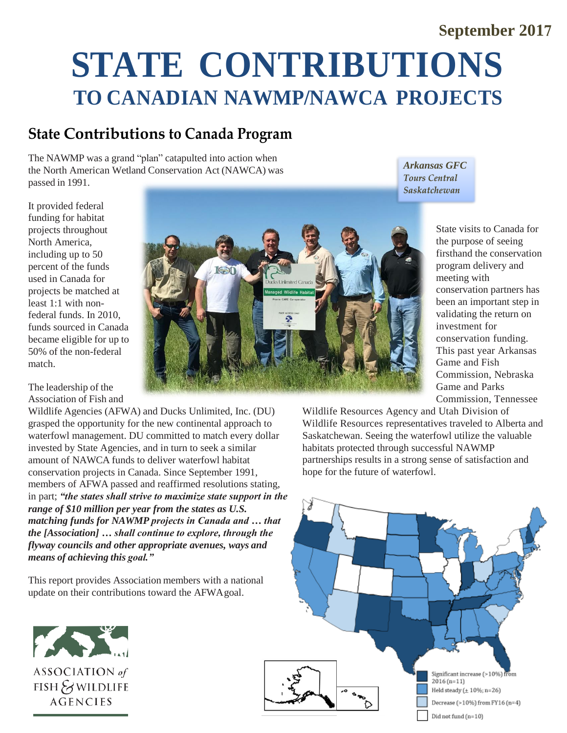## **September 2017**

# **STATE CONTRIBUTIONS TO CANADIAN NAWMP/NAWCA PROJECTS**

## **State Contributions to Canada Program**

The NAWMP was a grand "plan" catapulted into action when the North American Wetland Conservation Act (NAWCA) was passed in 1991.

It provided federal funding for habitat projects throughout North America, including up to 50 percent of the funds used in Canada for projects be matched at least 1:1 with nonfederal funds. In 2010, funds sourced in Canada became eligible for up to 50% of the non-federal match.

The leadership of the Association of Fish and

Wildlife Agencies (AFWA) and Ducks Unlimited, Inc. (DU) grasped the opportunity for the new continental approach to waterfowl management. DU committed to match every dollar invested by State Agencies, and in turn to seek a similar amount of NAWCA funds to deliver waterfowl habitat conservation projects in Canada. Since September 1991, members of AFWA passed and reaffirmed resolutions stating, in part; *"the states shall strive to maximize state support in the range of \$10 million per year from the states as U.S. matching funds for NAWMP projects in Canada and … that the [Association] … shall continue to explore, through the flyway councils and other appropriate avenues, ways and means of achieving this goal."*

This report provides Association members with a national update on their contributions toward the AFWAgoal.





*Arkansas GFC***Tours Central Saskatchewan** 

> State visits to Canada for the purpose of seeing firsthand the conservation program delivery and meeting with conservation partners has been an important step in validating the return on investment for conservation funding. This past year Arkansas Game and Fish Commission, Nebraska Game and Parks Commission, Tennessee

Wildlife Resources Agency and Utah Division of Wildlife Resources representatives traveled to Alberta and Saskatchewan. Seeing the waterfowl utilize the valuable habitats protected through successful NAWMP partnerships results in a strong sense of satisfaction and hope for the future of waterfowl.